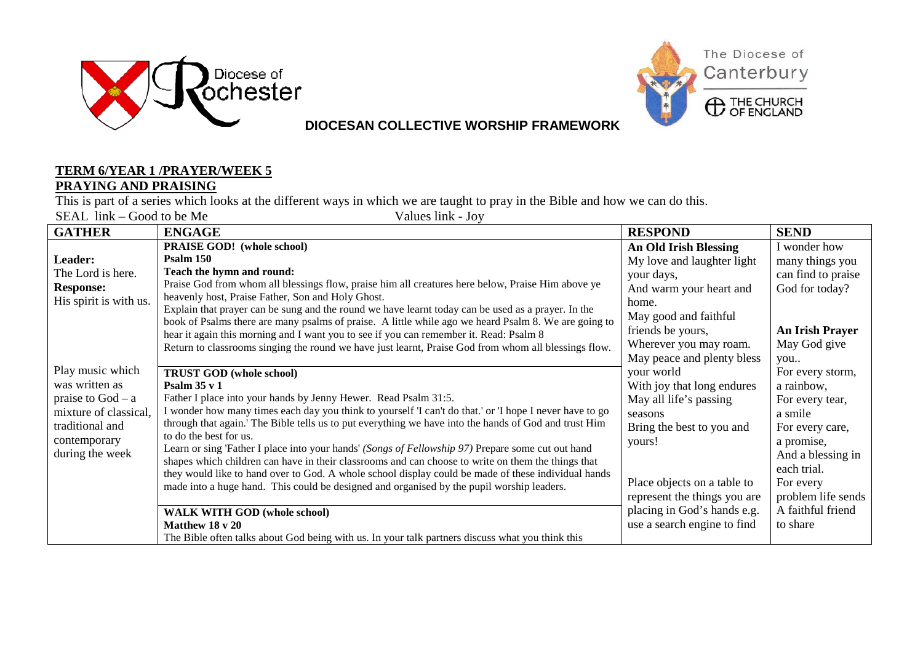



## **DIOCESAN COLLECTIVE WORSHIP FRAMEWORK**

## **TERM 6/YEAR 1 /PRAYER/WEEK 5 PRAYING AND PRAISING**

This is part of a series which looks at the different ways in which we are taught to pray in the Bible and how we can do this.<br>SEAL link – Good to be Me<br>Values link - Joy

SEAL  $link - Good$  to be Me

| <b>GATHER</b>          | <b>ENGAGE</b>                                                                                                                                                                                              | <b>RESPOND</b>               | <b>SEND</b>            |
|------------------------|------------------------------------------------------------------------------------------------------------------------------------------------------------------------------------------------------------|------------------------------|------------------------|
|                        | <b>PRAISE GOD!</b> (whole school)                                                                                                                                                                          | <b>An Old Irish Blessing</b> | I wonder how           |
| Leader:                | P <sub>salm</sub> 150                                                                                                                                                                                      | My love and laughter light   | many things you        |
| The Lord is here.      | Teach the hymn and round:                                                                                                                                                                                  | your days,                   | can find to praise     |
| <b>Response:</b>       | Praise God from whom all blessings flow, praise him all creatures here below, Praise Him above ye                                                                                                          | And warm your heart and      | God for today?         |
| His spirit is with us. | heavenly host, Praise Father, Son and Holy Ghost.                                                                                                                                                          | home.                        |                        |
|                        | Explain that prayer can be sung and the round we have learnt today can be used as a prayer. In the<br>book of Psalms there are many psalms of praise. A little while ago we heard Psalm 8. We are going to | May good and faithful        |                        |
|                        | hear it again this morning and I want you to see if you can remember it. Read: Psalm 8                                                                                                                     | friends be yours,            | <b>An Irish Prayer</b> |
|                        | Return to classrooms singing the round we have just learnt, Praise God from whom all blessings flow.                                                                                                       | Wherever you may roam.       | May God give           |
|                        |                                                                                                                                                                                                            | May peace and plenty bless   | you                    |
| Play music which       | <b>TRUST GOD (whole school)</b>                                                                                                                                                                            | your world                   | For every storm,       |
| was written as         | Psalm $35 \text{ v } 1$                                                                                                                                                                                    | With joy that long endures   | a rainbow,             |
| praise to $God - a$    | Father I place into your hands by Jenny Hewer. Read Psalm 31:5.                                                                                                                                            | May all life's passing       | For every tear,        |
| mixture of classical,  | I wonder how many times each day you think to yourself 'I can't do that.' or 'I hope I never have to go                                                                                                    | seasons                      | a smile                |
| traditional and        | through that again.' The Bible tells us to put everything we have into the hands of God and trust Him                                                                                                      | Bring the best to you and    | For every care,        |
| contemporary           | to do the best for us.                                                                                                                                                                                     | yours!                       | a promise,             |
| during the week        | Learn or sing 'Father I place into your hands' (Songs of Fellowship 97) Prepare some cut out hand<br>shapes which children can have in their classrooms and can choose to write on them the things that    |                              | And a blessing in      |
|                        | they would like to hand over to God. A whole school display could be made of these individual hands                                                                                                        |                              | each trial.            |
|                        | made into a huge hand. This could be designed and organised by the pupil worship leaders.                                                                                                                  | Place objects on a table to  | For every              |
|                        |                                                                                                                                                                                                            | represent the things you are | problem life sends     |
|                        | <b>WALK WITH GOD (whole school)</b>                                                                                                                                                                        | placing in God's hands e.g.  | A faithful friend      |
|                        | Matthew 18 v 20                                                                                                                                                                                            | use a search engine to find  | to share               |
|                        | The Bible often talks about God being with us. In your talk partners discuss what you think this                                                                                                           |                              |                        |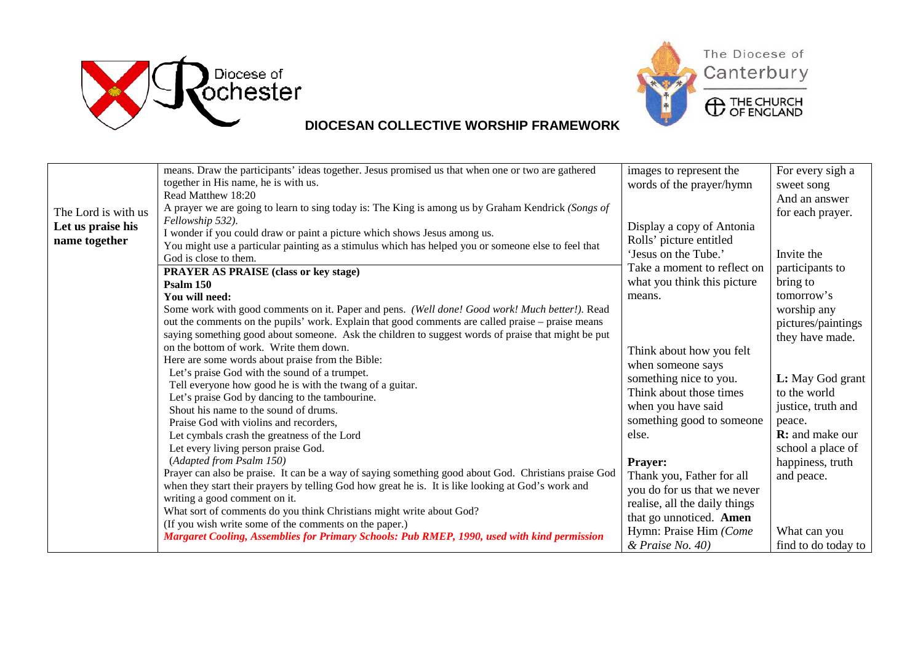



## **DIOCESAN COLLECTIVE WORSHIP FRAMEWORK**

|                     | means. Draw the participants' ideas together. Jesus promised us that when one or two are gathered<br>together in His name, he is with us. | images to represent the<br>words of the prayer/hymn | For every sigh a<br>sweet song |
|---------------------|-------------------------------------------------------------------------------------------------------------------------------------------|-----------------------------------------------------|--------------------------------|
|                     | Read Matthew 18:20                                                                                                                        |                                                     | And an answer                  |
| The Lord is with us | A prayer we are going to learn to sing today is: The King is among us by Graham Kendrick (Songs of                                        |                                                     | for each prayer.               |
| Let us praise his   | Fellowship 532).                                                                                                                          | Display a copy of Antonia                           |                                |
| name together       | I wonder if you could draw or paint a picture which shows Jesus among us.                                                                 | Rolls' picture entitled                             |                                |
|                     | You might use a particular painting as a stimulus which has helped you or someone else to feel that                                       | 'Jesus on the Tube.'                                | Invite the                     |
|                     | God is close to them.                                                                                                                     |                                                     |                                |
|                     | <b>PRAYER AS PRAISE (class or key stage)</b>                                                                                              | Take a moment to reflect on                         | participants to                |
|                     | Psalm 150                                                                                                                                 | what you think this picture                         | bring to                       |
|                     | You will need:                                                                                                                            | means.                                              | tomorrow's                     |
|                     | Some work with good comments on it. Paper and pens. (Well done! Good work! Much better!). Read                                            |                                                     | worship any                    |
|                     | out the comments on the pupils' work. Explain that good comments are called praise – praise means                                         |                                                     | pictures/paintings             |
|                     | saying something good about someone. Ask the children to suggest words of praise that might be put                                        |                                                     | they have made.                |
|                     | on the bottom of work. Write them down.                                                                                                   | Think about how you felt                            |                                |
|                     | Here are some words about praise from the Bible:                                                                                          | when someone says                                   |                                |
|                     | Let's praise God with the sound of a trumpet.                                                                                             | something nice to you.                              | L: May God grant               |
|                     | Tell everyone how good he is with the twang of a guitar.                                                                                  | Think about those times                             | to the world                   |
|                     | Let's praise God by dancing to the tambourine.                                                                                            | when you have said                                  |                                |
|                     | Shout his name to the sound of drums.                                                                                                     |                                                     | justice, truth and             |
|                     | Praise God with violins and recorders,                                                                                                    | something good to someone                           | peace.                         |
|                     | Let cymbals crash the greatness of the Lord                                                                                               | else.                                               | <b>R:</b> and make our         |
|                     | Let every living person praise God.                                                                                                       |                                                     | school a place of              |
|                     | (Adapted from Psalm 150)                                                                                                                  | <b>Prayer:</b>                                      | happiness, truth               |
|                     | Prayer can also be praise. It can be a way of saying something good about God. Christians praise God                                      | Thank you, Father for all                           | and peace.                     |
|                     | when they start their prayers by telling God how great he is. It is like looking at God's work and                                        | you do for us that we never                         |                                |
|                     | writing a good comment on it.                                                                                                             | realise, all the daily things                       |                                |
|                     | What sort of comments do you think Christians might write about God?                                                                      | that go unnoticed. Amen                             |                                |
|                     | (If you wish write some of the comments on the paper.)                                                                                    | Hymn: Praise Him (Come                              | What can you                   |
|                     | Margaret Cooling, Assemblies for Primary Schools: Pub RMEP, 1990, used with kind permission                                               | & Praise No. 40)                                    | find to do today to            |
|                     |                                                                                                                                           |                                                     |                                |